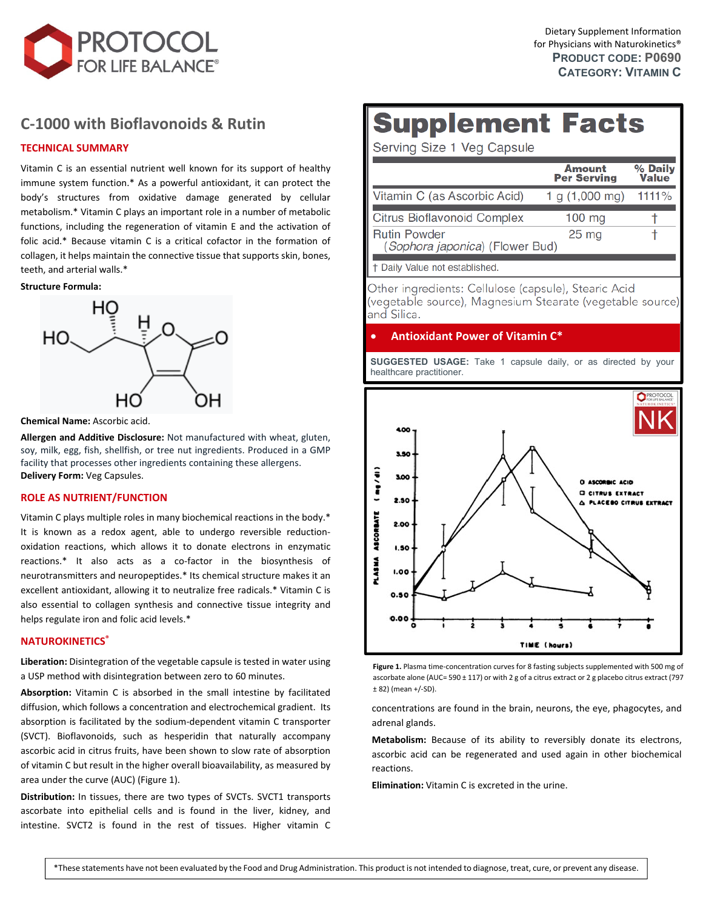

## **C‐1000 with [Bioflavonoids](https://www.protocolforlife.com/c-1000-caps/) & Rutin**

## **TECHNICAL SUMMARY**

Vitamin C is an essential nutrient well known for its support of healthy immune system function.\* As a powerful antioxidant, it can protect the body's structures from oxidative damage generated by cellular metabolism.\* Vitamin C plays an important role in a number of metabolic functions, including the regeneration of vitamin E and the activation of folic acid.\* Because vitamin C is a critical cofactor in the formation of collagen, it helps maintain the connective tissue that supports skin, bones, teeth, and arterial walls.\*

#### **Structure Formula:**



**Chemical Name:** Ascorbic acid.

**Allergen and Additive Disclosure:** Not manufactured with wheat, gluten, soy, milk, egg, fish, shellfish, or tree nut ingredients. Produced in a GMP facility that processes other ingredients containing these allergens. **Delivery Form:** Veg Capsules.

## **ROLE AS NUTRIENT/FUNCTION**

Vitamin C plays multiple roles in many biochemical reactions in the body.\* It is known as a redox agent, able to undergo reversible reductionoxidation reactions, which allows it to donate electrons in enzymatic reactions.\* It also acts as a co-factor in the biosynthesis of neurotransmitters and neuropeptides.\* Its chemical structure makes it an excellent antioxidant, allowing it to neutralize free radicals.\* Vitamin C is also essential to collagen synthesis and connective tissue integrity and helps regulate iron and folic acid levels.\*

## **NATUROKINETICS®**

**Liberation:** Disintegration of the vegetable capsule is tested in water using a USP method with disintegration between zero to 60 minutes.

**Absorption:** Vitamin C is absorbed in the small intestine by facilitated diffusion, which follows a concentration and electrochemical gradient. Its absorption is facilitated by the sodium‐dependent vitamin C transporter (SVCT). Bioflavonoids, such as hesperidin that naturally accompany ascorbic acid in citrus fruits, have been shown to slow rate of absorption of vitamin C but result in the higher overall bioavailability, as measured by area under the curve (AUC) (Figure 1).

**Distribution:** In tissues, there are two types of SVCTs. SVCT1 transports ascorbate into epithelial cells and is found in the liver, kidney, and intestine. SVCT2 is found in the rest of tissues. Higher vitamin C

# **Supplement Facts**

Serving Size 1 Veg Capsule

|                                                        | Amount<br><b>Per Serving</b> | % Daily<br>Value |
|--------------------------------------------------------|------------------------------|------------------|
| Vitamin C (as Ascorbic Acid)                           | 1 g (1,000 mg)               | 1111%            |
| <b>Citrus Bioflavonoid Complex</b>                     | $100$ mg                     |                  |
| <b>Rutin Powder</b><br>(Sophora japonica) (Flower Bud) | 25 <sub>mg</sub>             |                  |
| Daily Value not established.                           |                              |                  |

Other ingredients: Cellulose (capsule), Stearic Acid (vegetable source), Magnesium Stearate (vegetable source) and Silica.

## **Antioxidant Power of Vitamin C\***

**SUGGESTED USAGE:** Take 1 capsule daily, or as directed by your healthcare practitioner.



**Figure 1.** Plasma time‐concentration curves for 8 fasting subjects supplemented with 500 mg of ascorbate alone (AUC= 590 ± 117) or with 2 g of a citrus extract or 2 g placebo citrus extract (797 ± 82) (mean +/‐SD).

concentrations are found in the brain, neurons, the eye, phagocytes, and adrenal glands.

**Metabolism:** Because of its ability to reversibly donate its electrons, ascorbic acid can be regenerated and used again in other biochemical reactions.

**Elimination:** Vitamin C is excreted in the urine.